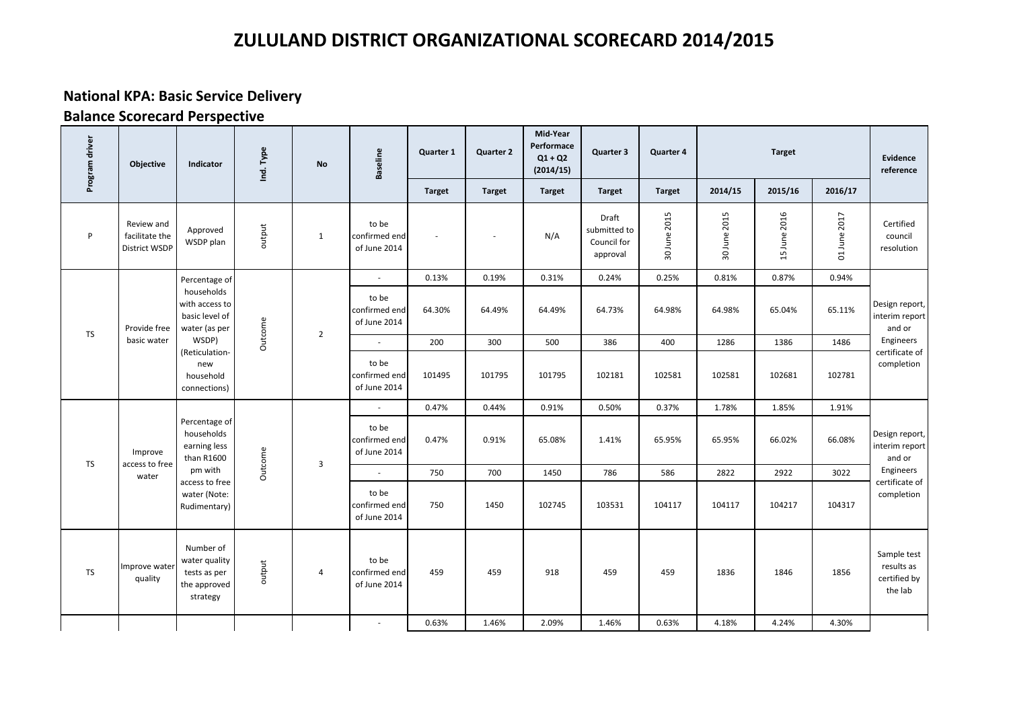### **National KPA: Basic Service Delivery**

| Program driver | Objective                                     | Indicator                                                              | Ind. Type | No             | <b>Baseline</b>                        | Quarter 1     | <b>Quarter 2</b> | Mid-Year<br>Performace<br>$Q1 + Q2$<br>(2014/15) | Quarter 3                                        | Quarter 4     |              | <b>Target</b> |              | Evidence<br>reference                                |
|----------------|-----------------------------------------------|------------------------------------------------------------------------|-----------|----------------|----------------------------------------|---------------|------------------|--------------------------------------------------|--------------------------------------------------|---------------|--------------|---------------|--------------|------------------------------------------------------|
|                |                                               |                                                                        |           |                |                                        | <b>Target</b> | <b>Target</b>    | <b>Target</b>                                    | <b>Target</b>                                    | <b>Target</b> | 2014/15      | 2015/16       | 2016/17      |                                                      |
| P              | Review and<br>facilitate the<br>District WSDP | Approved<br>WSDP plan                                                  | output    | $\mathbf{1}$   | to be<br>confirmed end<br>of June 2014 |               |                  | N/A                                              | Draft<br>submitted to<br>Council for<br>approval | 30 June 2015  | 30 June 2015 | 15 June 2016  | 01 June 2017 | Certified<br>council<br>resolution                   |
|                |                                               | Percentage of                                                          |           |                | ÷,                                     | 0.13%         | 0.19%            | 0.31%                                            | 0.24%                                            | 0.25%         | 0.81%        | 0.87%         | 0.94%        |                                                      |
| <b>TS</b>      | Provide free                                  | households<br>with access to<br>basic level of<br>water (as per        | Outcome   | $\overline{2}$ | to be<br>confirmed end<br>of June 2014 | 64.30%        | 64.49%           | 64.49%                                           | 64.73%                                           | 64.98%        | 64.98%       | 65.04%        | 65.11%       | Design report,<br>interim report<br>and or           |
|                | basic water                                   | WSDP)<br>(Reticulation-                                                |           |                |                                        | 200           | 300              | 500                                              | 386                                              | 400           | 1286         | 1386          | 1486         | Engineers<br>certificate of                          |
|                |                                               | new<br>household<br>connections)                                       |           |                | to be<br>confirmed end<br>of June 2014 | 101495        | 101795           | 101795                                           | 102181                                           | 102581        | 102581       | 102681        | 102781       | completion                                           |
|                |                                               |                                                                        |           |                | ÷,                                     | 0.47%         | 0.44%            | 0.91%                                            | 0.50%                                            | 0.37%         | 1.78%        | 1.85%         | 1.91%        |                                                      |
| <b>TS</b>      | Improve<br>access to free                     | Percentage of<br>households<br>earning less<br>than R1600              | Outcome   | 3              | to be<br>confirmed end<br>of June 2014 | 0.47%         | 0.91%            | 65.08%                                           | 1.41%                                            | 65.95%        | 65.95%       | 66.02%        | 66.08%       | Design report,<br>interim report<br>and or           |
|                | water                                         | pm with<br>access to free                                              |           |                |                                        | 750           | 700              | 1450                                             | 786                                              | 586           | 2822         | 2922          | 3022         | Engineers<br>certificate of                          |
|                |                                               | water (Note:<br>Rudimentary)                                           |           |                | to be<br>confirmed end<br>of June 2014 | 750           | 1450             | 102745                                           | 103531                                           | 104117        | 104117       | 104217        | 104317       | completion                                           |
| <b>TS</b>      | Improve water<br>quality                      | Number of<br>water quality<br>tests as per<br>the approved<br>strategy | output    | 4              | to be<br>confirmed end<br>of June 2014 | 459           | 459              | 918                                              | 459                                              | 459           | 1836         | 1846          | 1856         | Sample test<br>results as<br>certified by<br>the lab |
|                |                                               |                                                                        |           |                | ÷,                                     | 0.63%         | 1.46%            | 2.09%                                            | 1.46%                                            | 0.63%         | 4.18%        | 4.24%         | 4.30%        |                                                      |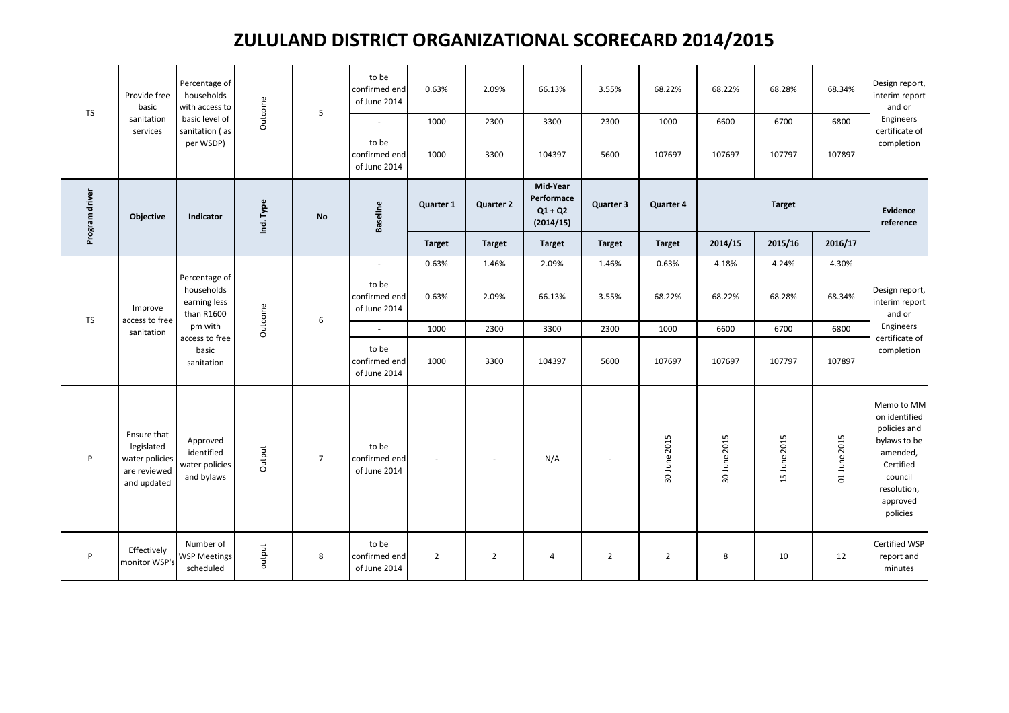| <b>TS</b>      | Provide free<br>basic<br>sanitation<br>services                            | Percentage of<br>households<br>with access to<br>basic level of<br>sanitation (as<br>per WSDP) | Outcome   | 5               | to be<br>confirmed end<br>of June 2014<br>$\sim$<br>to be<br>confirmed end | 0.63%<br>1000<br>1000 | 2.09%<br>2300<br>3300 | 66.13%<br>3300<br>104397                         | 3.55%<br>2300<br>5600 | 68.22%<br>1000<br>107697 | 68.22%<br>6600<br>107697 | 68.28%<br>6700<br>107797 | 68.34%<br>6800<br>107897 | Design report,<br>interim report<br>and or<br>Engineers<br>certificate of<br>completion                                                |
|----------------|----------------------------------------------------------------------------|------------------------------------------------------------------------------------------------|-----------|-----------------|----------------------------------------------------------------------------|-----------------------|-----------------------|--------------------------------------------------|-----------------------|--------------------------|--------------------------|--------------------------|--------------------------|----------------------------------------------------------------------------------------------------------------------------------------|
| Program driver | Objective                                                                  | Indicator                                                                                      | Ind. Type | <b>No</b>       | of June 2014<br><b>Baseline</b>                                            | Quarter 1             | <b>Quarter 2</b>      | Mid-Year<br>Performace<br>$Q1 + Q2$<br>(2014/15) | Quarter 3             | Quarter 4                |                          | <b>Target</b>            |                          | Evidence<br>reference                                                                                                                  |
|                |                                                                            |                                                                                                |           |                 |                                                                            | <b>Target</b>         | <b>Target</b>         | <b>Target</b>                                    | <b>Target</b>         | <b>Target</b>            | 2014/15                  | 2015/16                  | 2016/17                  |                                                                                                                                        |
|                |                                                                            |                                                                                                |           |                 |                                                                            | 0.63%                 | 1.46%                 | 2.09%                                            | 1.46%                 | 0.63%                    | 4.18%                    | 4.24%                    | 4.30%                    |                                                                                                                                        |
| <b>TS</b>      | Improve<br>access to free                                                  | Percentage of<br>households<br>earning less<br>than R1600                                      | Outcome   | 6               | to be<br>confirmed end<br>of June 2014                                     | 0.63%                 | 2.09%                 | 66.13%                                           | 3.55%                 | 68.22%                   | 68.22%                   | 68.28%                   | 68.34%                   | Design report,<br>interim report<br>and or                                                                                             |
|                | sanitation                                                                 | pm with<br>access to free                                                                      |           |                 | $\sim$                                                                     | 1000                  | 2300                  | 3300                                             | 2300                  | 1000                     | 6600                     | 6700                     | 6800                     | Engineers<br>certificate of                                                                                                            |
|                |                                                                            | basic<br>sanitation                                                                            |           |                 | to be<br>confirmed end<br>of June 2014                                     | 1000                  | 3300                  | 104397                                           | 5600                  | 107697                   | 107697                   | 107797                   | 107897                   | completion                                                                                                                             |
| P              | Ensure that<br>legislated<br>water policies<br>are reviewed<br>and updated | Approved<br>identified<br>water policies<br>and bylaws                                         | Output    | $7\overline{ }$ | to be<br>confirmed end<br>of June 2014                                     |                       |                       | N/A                                              |                       | 30 June 2015             | 30 June 2015             | 15 June 2015             | 01 June 2015             | Memo to MM<br>on identified<br>policies and<br>bylaws to be<br>amended,<br>Certified<br>council<br>resolution,<br>approved<br>policies |
| P              | Effectively<br>monitor WSP's                                               | Number of<br><b>WSP Meetings</b><br>scheduled                                                  | output    | 8               | to be<br>confirmed end<br>of June 2014                                     | $\overline{2}$        | $\overline{2}$        | 4                                                | $\overline{2}$        | $\overline{2}$           | 8                        | 10                       | 12                       | Certified WSP<br>report and<br>minutes                                                                                                 |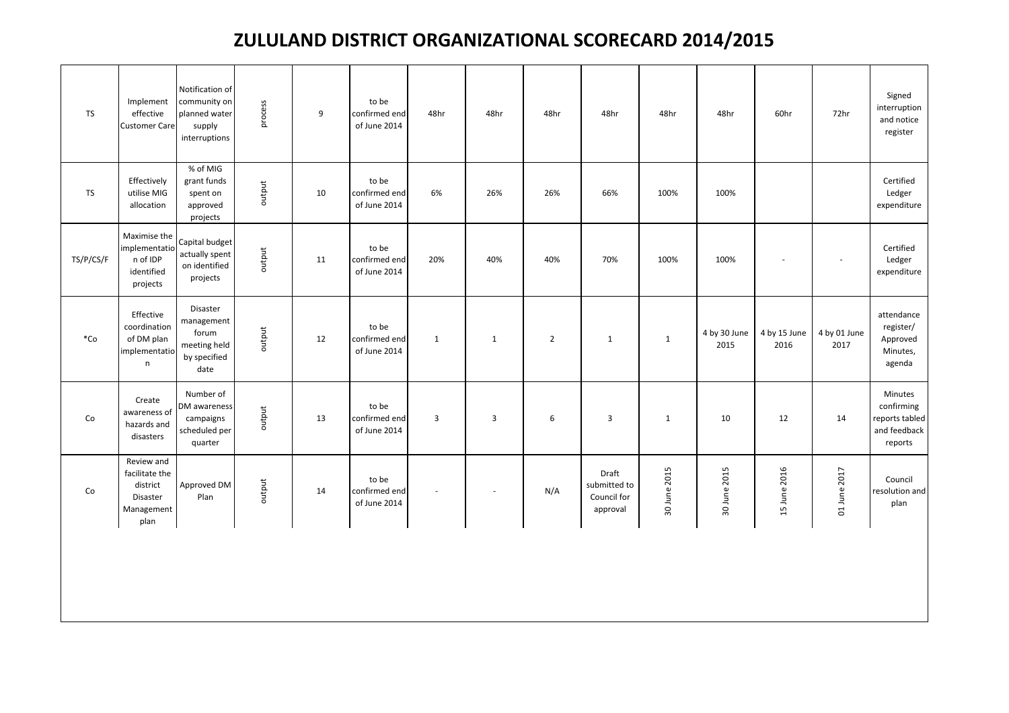| <b>TS</b>            | Implement<br>effective<br><b>Customer Care</b>                             | Notification of<br>community on<br>planned water<br>supply<br>interruptions | process | 9  | to be<br>confirmed end<br>of June 2014 | 48hr           | 48hr           | 48hr           | 48hr                                             | 48hr         | 48hr                 | 60hr                 | 72hr                 | Signed<br>$\sf{interruption}$<br>and notice<br>register            |
|----------------------|----------------------------------------------------------------------------|-----------------------------------------------------------------------------|---------|----|----------------------------------------|----------------|----------------|----------------|--------------------------------------------------|--------------|----------------------|----------------------|----------------------|--------------------------------------------------------------------|
| <b>TS</b>            | Effectively<br>utilise MIG<br>allocation                                   | % of MIG<br>grant funds<br>spent on<br>approved<br>projects                 | output  | 10 | to be<br>confirmed end<br>of June 2014 | 6%             | 26%            | 26%            | 66%                                              | 100%         | 100%                 |                      |                      | Certified<br>Ledger<br>expenditure                                 |
| TS/P/CS/F            | Maximise the<br>implementatio<br>n of IDP<br>identified<br>projects        | Capital budget<br>actually spent<br>on identified<br>projects               | output  | 11 | to be<br>confirmed end<br>of June 2014 | 20%            | 40%            | 40%            | 70%                                              | 100%         | 100%                 |                      |                      | Certified<br>Ledger<br>expenditure                                 |
| $^*Co$               | Effective<br>coordination<br>of DM plan<br>implementatio<br>$\mathsf n$    | Disaster<br>management<br>forum<br>meeting held<br>by specified<br>date     | output  | 12 | to be<br>confirmed end<br>of June 2014 | $\mathbf{1}$   | $\mathbf{1}$   | $\overline{2}$ | $\mathbf{1}$                                     | $\mathbf{1}$ | 4 by 30 June<br>2015 | 4 by 15 June<br>2016 | 4 by 01 June<br>2017 | attendance<br>register/<br>Approved<br>Minutes,<br>agenda          |
| $\mathsf{Co}\xspace$ | Create<br>awareness of<br>hazards and<br>disasters                         | Number of<br>DM awareness<br>campaigns<br>scheduled per<br>quarter          | output  | 13 | to be<br>confirmed end<br>of June 2014 | $\overline{3}$ | $\overline{3}$ | 6              | $\overline{\mathbf{3}}$                          | $\mathbf{1}$ | 10                   | 12                   | 14                   | Minutes<br>confirming<br>reports tabled<br>and feedback<br>reports |
| Co                   | Review and<br>facilitate the<br>district<br>Disaster<br>Management<br>plan | Approved DM<br>Plan                                                         | output  | 14 | to be<br>confirmed end<br>of June 2014 | $\sim$         | $\sim$         | N/A            | Draft<br>submitted to<br>Council for<br>approval | 30 June 2015 | 30 June 2015         | 15 June 2016         | 01 June 2017         | Council<br>resolution and<br>plan                                  |
|                      |                                                                            |                                                                             |         |    |                                        |                |                |                |                                                  |              |                      |                      |                      |                                                                    |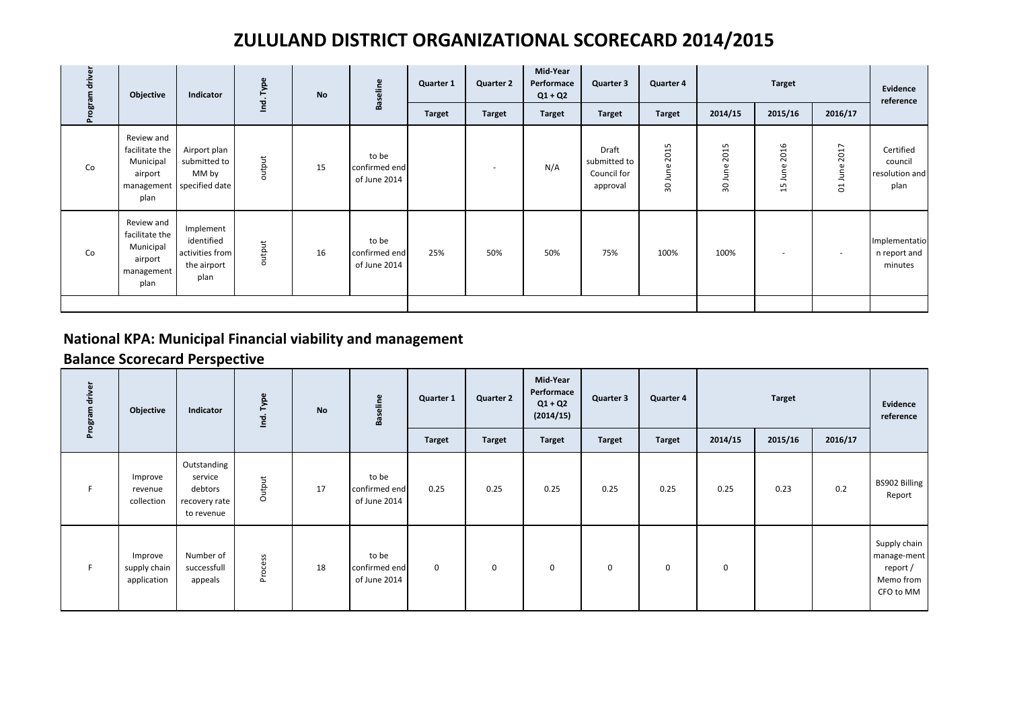| Program driver | Objective                                                                  | Indicator                                                          | Ind. Type | <b>No</b> | <b>Baseline</b>                        | Quarter 1     | <b>Quarter 2</b> | Mid-Year<br>Performace<br>$Q1 + Q2$ | Quarter 3                                        | <b>Quarter 4</b>   |            | <b>Target</b>            |                               | Evidence<br>reference                          |
|----------------|----------------------------------------------------------------------------|--------------------------------------------------------------------|-----------|-----------|----------------------------------------|---------------|------------------|-------------------------------------|--------------------------------------------------|--------------------|------------|--------------------------|-------------------------------|------------------------------------------------|
|                |                                                                            |                                                                    |           |           |                                        | <b>Target</b> | <b>Target</b>    | <b>Target</b>                       | <b>Target</b>                                    | <b>Target</b>      | 2014/15    | 2015/16                  | 2016/17                       |                                                |
| Co             | Review and<br>facilitate the<br>Municipal<br>airport<br>plan               | Airport plan<br>submitted to<br>MM by<br>management specified date | output    | 15        | to be<br>confirmed end<br>of June 2014 |               |                  | N/A                                 | Draft<br>submitted to<br>Council for<br>approval | 2015<br>June<br>30 | 2015<br>90 | 2016<br>June<br>15       | 2017<br>une<br><u>—</u><br>S. | Certified<br>council<br>resolution and<br>plan |
| Co             | Review and<br>facilitate the<br>Municipal<br>airport<br>management<br>plan | Implement<br>identified<br>activities from<br>the airport<br>plan  | output    | 16        | to be<br>confirmed end<br>of June 2014 | 25%           | 50%              | 50%                                 | 75%                                              | 100%               | 100%       | $\overline{\phantom{a}}$ | $\overline{\phantom{a}}$      | Implementatio<br>n report and<br>minutes       |
|                |                                                                            |                                                                    |           |           |                                        |               |                  |                                     |                                                  |                    |            |                          |                               |                                                |

### **National KPA: Municipal Financial viability and management**

| Program drive | Objective                              | Indicator                                                        | Type<br>$\cdot$<br>흗 | <b>No</b> | eline<br>Bas                           | <b>Quarter 1</b> | <b>Quarter 2</b> | Mid-Year<br>Performace<br>$Q1 + Q2$<br>(2014/15) | Quarter 3     | Quarter 4     |             | <b>Target</b> |         | Evidence<br>reference                                             |
|---------------|----------------------------------------|------------------------------------------------------------------|----------------------|-----------|----------------------------------------|------------------|------------------|--------------------------------------------------|---------------|---------------|-------------|---------------|---------|-------------------------------------------------------------------|
|               |                                        |                                                                  |                      |           |                                        | <b>Target</b>    | <b>Target</b>    | <b>Target</b>                                    | <b>Target</b> | <b>Target</b> | 2014/15     | 2015/16       | 2016/17 |                                                                   |
|               | Improve<br>revenue<br>collection       | Outstanding<br>service<br>debtors<br>recovery rate<br>to revenue | Output               | 17        | to be<br>confirmed end<br>of June 2014 | 0.25             | 0.25             | 0.25                                             | 0.25          | 0.25          | 0.25        | 0.23          | 0.2     | BS902 Billing<br>Report                                           |
|               | Improve<br>supply chain<br>application | Number of<br>successfull<br>appeals                              | Process              | 18        | to be<br>confirmed end<br>of June 2014 | 0                | $\mathbf 0$      | 0                                                | $\mathbf 0$   | $\mathbf 0$   | $\mathbf 0$ |               |         | Supply chain<br>manage-ment<br>report /<br>Memo from<br>CFO to MM |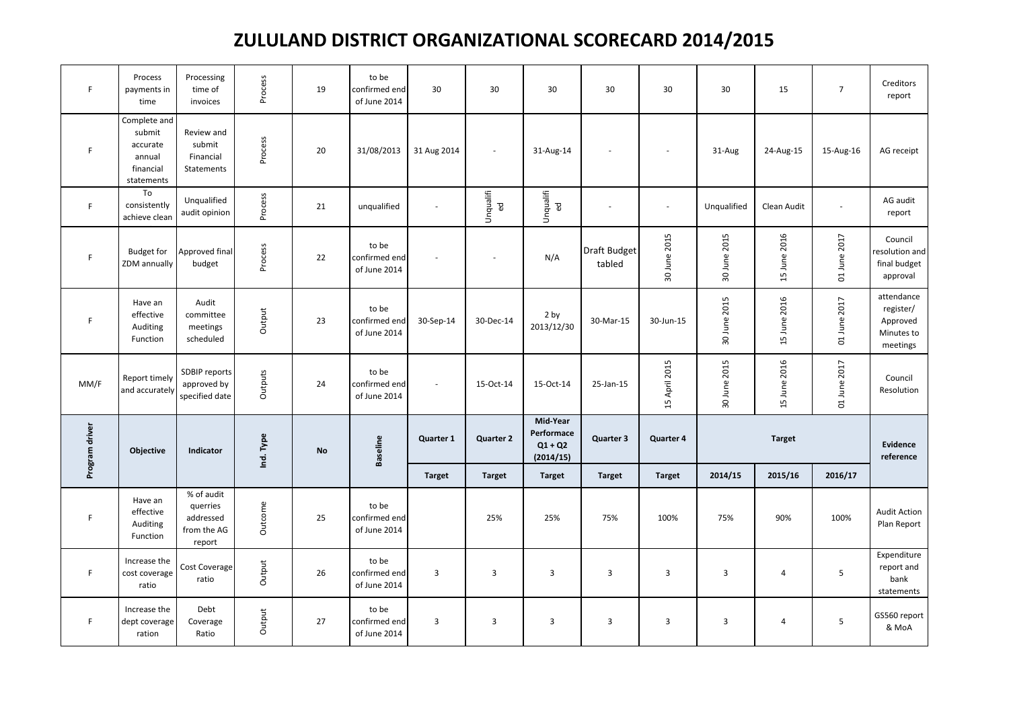| F              | Process<br>payments in<br>time                                          | Processing<br>time of<br>invoices                            | Process   | 19 | to be<br>confirmed end<br>of June 2014 | 30                        | 30                       | 30                                               | 30                     | 30            | 30                      | 15             | $\overline{7}$ | Creditors<br>report                                           |
|----------------|-------------------------------------------------------------------------|--------------------------------------------------------------|-----------|----|----------------------------------------|---------------------------|--------------------------|--------------------------------------------------|------------------------|---------------|-------------------------|----------------|----------------|---------------------------------------------------------------|
| $\mathsf F$    | Complete and<br>submit<br>accurate<br>annual<br>financial<br>statements | Review and<br>submit<br>Financial<br>Statements              | Process   | 20 | 31/08/2013                             | 31 Aug 2014               | $\overline{\phantom{a}}$ | 31-Aug-14                                        |                        |               | 31-Aug                  | 24-Aug-15      | 15-Aug-16      | AG receipt                                                    |
| F              | To<br>consistently<br>achieve clean                                     | Unqualified<br>audit opinion                                 | Process   | 21 | unqualified                            |                           | Unqualifi<br>ed          | Unqualifi<br>ed                                  |                        | $\sim$        | Unqualified             | Clean Audit    | $\sim$         | AG audit<br>report                                            |
| $\mathsf F$    | <b>Budget for</b><br>ZDM annually                                       | Approved final<br>budget                                     | Process   | 22 | to be<br>confirmed end<br>of June 2014 |                           | $\overline{\phantom{a}}$ | N/A                                              | Draft Budget<br>tabled | 30 June 2015  | 30 June 2015            | 15 June 2016   | 01 June 2017   | Council<br>resolution and<br>final budget<br>approval         |
| F              | Have an<br>effective<br>Auditing<br>Function                            | Audit<br>committee<br>meetings<br>scheduled                  | Output    | 23 | to be<br>confirmed end<br>of June 2014 | 30-Sep-14                 | 30-Dec-14                | 2 by<br>2013/12/30                               | 30-Mar-15              | 30-Jun-15     | 30 June 2015            | 15 June 2016   | 01 June 2017   | attendance<br>register/<br>Approved<br>Minutes to<br>meetings |
| MM/F           | Report timely<br>and accurately                                         | SDBIP reports<br>approved by<br>specified date               | Outputs   | 24 | to be<br>confirmed end<br>of June 2014 | $\overline{\phantom{a}}$  | 15-Oct-14                | 15-Oct-14                                        | 25-Jan-15              | 15 April 2015 | 30 June 2015            | 15 June 2016   | 01 June 2017   | Council<br>Resolution                                         |
| Program driver | Objective                                                               | Indicator                                                    | Ind. Type | No | <b>Baseline</b>                        | Quarter 1                 | <b>Quarter 2</b>         | Mid-Year<br>Performace<br>$Q1 + Q2$<br>(2014/15) | Quarter 3              | Quarter 4     |                         | <b>Target</b>  |                | Evidence<br>reference                                         |
|                |                                                                         |                                                              |           |    |                                        | <b>Target</b>             | <b>Target</b>            | <b>Target</b>                                    | <b>Target</b>          | <b>Target</b> | 2014/15                 | 2015/16        | 2016/17        |                                                               |
| $\mathsf F$    | Have an<br>effective<br>Auditing<br>Function                            | % of audit<br>querries<br>addressed<br>from the AG<br>report | Outcome   | 25 | to be<br>confirmed end<br>of June 2014 |                           | 25%                      | 25%                                              | 75%                    | 100%          | 75%                     | 90%            | 100%           | <b>Audit Action</b><br>Plan Report                            |
| $\mathsf F$    | Increase the<br>cost coverage<br>ratio                                  | Cost Coverage<br>ratio                                       | Output    | 26 | to be<br>confirmed end<br>of June 2014 | $\overline{3}$            | $\overline{3}$           | $\mathsf 3$                                      | 3                      | 3             | $\overline{\mathbf{3}}$ | $\overline{a}$ | 5              | Expenditure<br>report and<br>bank<br>statements               |
| F.             | Increase the<br>dept coverage<br>ration                                 | Debt<br>Coverage<br>Ratio                                    | Output    | 27 | to be<br>confirmed end<br>of June 2014 | $\ensuremath{\mathsf{3}}$ | $\overline{3}$           | 3                                                | $\mathbf{3}$           | 3             | $\mathsf 3$             | $\overline{a}$ | $\sqrt{5}$     | GS560 report<br>& MoA                                         |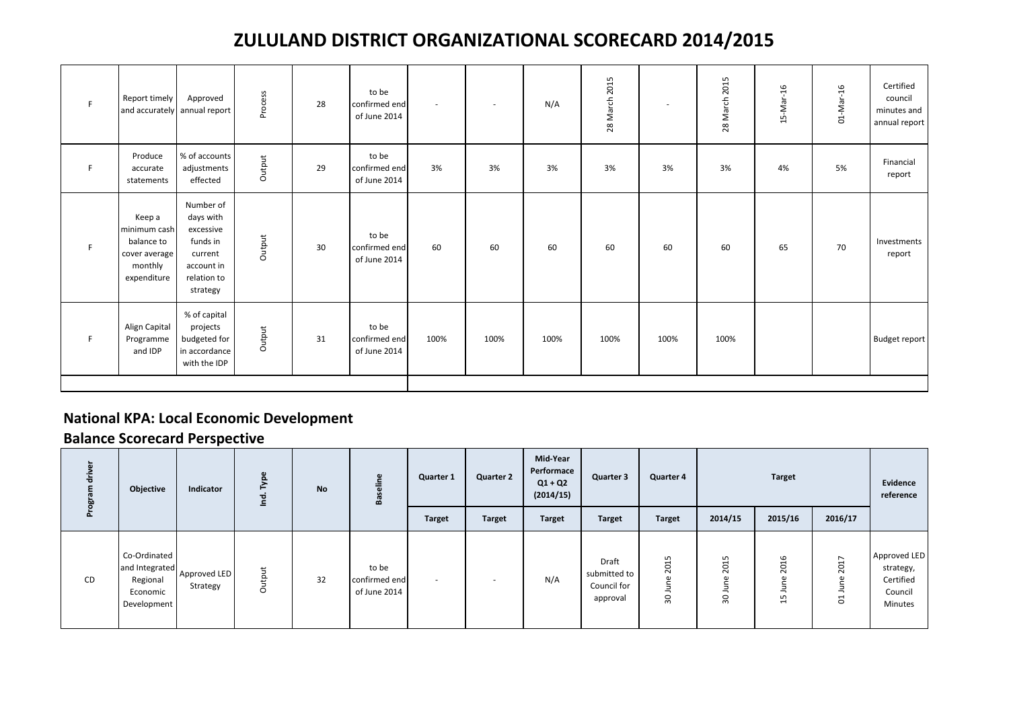| F  | Report timely                                                                   | Approved<br>and accurately annual report                                                            | Process | 28 | to be<br>confirmed end<br>of June 2014 | $\sim$ | $\sim$ | N/A  | 2015<br>28 March | ٠    | 2015<br>28 March | 15-Mar-16 | 01-Mar-16 | Certified<br>council<br>minutes and<br>annual report |
|----|---------------------------------------------------------------------------------|-----------------------------------------------------------------------------------------------------|---------|----|----------------------------------------|--------|--------|------|------------------|------|------------------|-----------|-----------|------------------------------------------------------|
| F. | Produce<br>accurate<br>statements                                               | % of accounts<br>adjustments<br>effected                                                            | Output  | 29 | to be<br>confirmed end<br>of June 2014 | 3%     | 3%     | 3%   | 3%               | 3%   | 3%               | 4%        | 5%        | Financial<br>report                                  |
| F. | Keep a<br>minimum cash<br>balance to<br>cover average<br>monthly<br>expenditure | Number of<br>days with<br>excessive<br>funds in<br>current<br>account in<br>relation to<br>strategy | Output  | 30 | to be<br>confirmed end<br>of June 2014 | 60     | 60     | 60   | 60               | 60   | 60               | 65        | 70        | Investments<br>report                                |
| F  | Align Capital<br>Programme<br>and IDP                                           | % of capital<br>projects<br>budgeted for<br>in accordance<br>with the IDP                           | Output  | 31 | to be<br>confirmed end<br>of June 2014 | 100%   | 100%   | 100% | 100%             | 100% | 100%             |           |           | <b>Budget report</b>                                 |
|    |                                                                                 |                                                                                                     |         |    |                                        |        |        |      |                  |      |                  |           |           |                                                      |

#### **National KPA: Local Economic Development**

| ᇴ<br>Progra | Objective                                                             | Indicator                | ٤      | <b>No</b> | هه                                     | <b>Quarter 1</b> | <b>Quarter 2</b> | Mid-Year<br>Performace<br>$Q1 + Q2$<br>(2014/15) | <b>Quarter 3</b>                                        | <b>Quarter 4</b>           |                                   | <b>Target</b>                                   |                                                  | Evidence<br>reference                                        |
|-------------|-----------------------------------------------------------------------|--------------------------|--------|-----------|----------------------------------------|------------------|------------------|--------------------------------------------------|---------------------------------------------------------|----------------------------|-----------------------------------|-------------------------------------------------|--------------------------------------------------|--------------------------------------------------------------|
|             |                                                                       |                          |        |           |                                        | <b>Target</b>    | <b>Target</b>    | <b>Target</b>                                    | <b>Target</b>                                           | <b>Target</b>              | 2014/15                           | 2015/16                                         | 2016/17                                          |                                                              |
| CD          | Co-Ordinated<br>and Integrated<br>Regional<br>Economic<br>Development | Approved LED<br>Strategy | Output | 32        | to be<br>confirmed end<br>of June 2014 | -                | $\sim$           | N/A                                              | <b>Draft</b><br>submitted to<br>Council for<br>approval | LO.<br>201<br>⊂<br>록<br>30 | 5<br>ដ<br>$\bar{\sim}$<br>–<br>90 | 6<br>H<br>8<br>C.<br>Ξ<br>-<br>ഗ<br>$\mathbf -$ | $\overline{ }$<br>201<br>$\omega$<br>Ξ<br>∽<br>ដ | Approved LED<br>strategy,<br>Certified<br>Council<br>Minutes |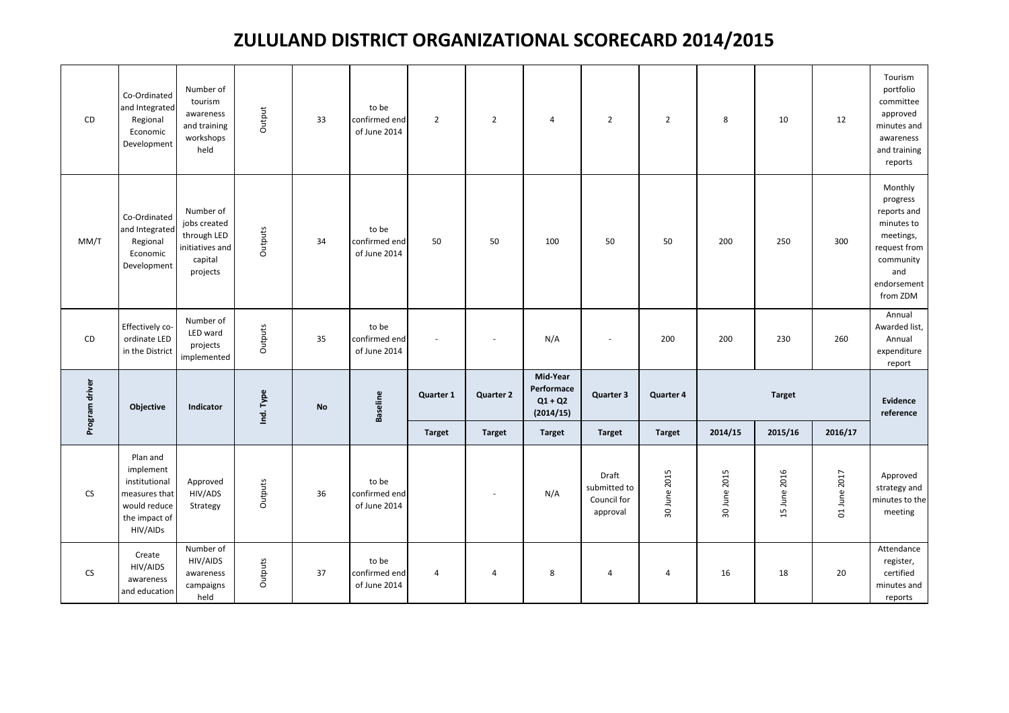| CD             | Co-Ordinated<br>and Integrated<br>Regional<br>Economic<br>Development                                | Number of<br>tourism<br>awareness<br>and training<br>workshops<br>held             | Output    | 33        | to be<br>confirmed end<br>of June 2014 | $\overline{2}$ | $\overline{2}$   | $\overline{4}$                                   | $\overline{2}$                                   | $\overline{2}$ | 8            | 10            | 12           | Tourism<br>portfolio<br>committee<br>approved<br>minutes and<br>awareness<br>and training<br>reports                         |
|----------------|------------------------------------------------------------------------------------------------------|------------------------------------------------------------------------------------|-----------|-----------|----------------------------------------|----------------|------------------|--------------------------------------------------|--------------------------------------------------|----------------|--------------|---------------|--------------|------------------------------------------------------------------------------------------------------------------------------|
| MM/T           | Co-Ordinated<br>and Integrated<br>Regional<br>Economic<br>Development                                | Number of<br>jobs created<br>through LED<br>initiatives and<br>capital<br>projects | Outputs   | 34        | to be<br>confirmed end<br>of June 2014 | 50             | 50               | 100                                              | 50                                               | 50             | 200          | 250           | 300          | Monthly<br>progress<br>reports and<br>minutes to<br>meetings,<br>request from<br>community<br>and<br>endorsement<br>from ZDM |
| CD             | Effectively co-<br>ordinate LED<br>in the District                                                   | Number of<br>LED ward<br>projects<br>implemented                                   | Outputs   | 35        | to be<br>confirmed end<br>of June 2014 |                |                  | N/A                                              |                                                  | 200            | 200          | 230           | 260          | Annual<br>Awarded list,<br>Annual<br>expenditure<br>report                                                                   |
| Program driver | Objective                                                                                            | Indicator                                                                          | Ind. Type | <b>No</b> | <b>Baseline</b>                        | Quarter 1      | <b>Quarter 2</b> | Mid-Year<br>Performace<br>$Q1 + Q2$<br>(2014/15) | Quarter 3                                        | Quarter 4      |              | <b>Target</b> |              | Evidence<br>reference                                                                                                        |
|                |                                                                                                      |                                                                                    |           |           |                                        | <b>Target</b>  | <b>Target</b>    | <b>Target</b>                                    | <b>Target</b>                                    | <b>Target</b>  | 2014/15      | 2015/16       | 2016/17      |                                                                                                                              |
| <b>CS</b>      | Plan and<br>implement<br>institutional<br>measures that<br>would reduce<br>the impact of<br>HIV/AIDs | Approved<br>HIV/ADS<br>Strategy                                                    | Outputs   | 36        | to be<br>confirmed end<br>of June 2014 |                | $\sim$           | N/A                                              | Draft<br>submitted to<br>Council for<br>approval | 30 June 2015   | 30 June 2015 | 15 June 2016  | 01 June 2017 | Approved<br>strategy and<br>minutes to the<br>meeting                                                                        |
| CS             | Create<br>HIV/AIDS<br>awareness<br>and education                                                     | Number of<br>HIV/AIDS<br>awareness<br>campaigns<br>held                            | Outputs   | 37        | to be<br>confirmed end<br>of June 2014 | 4              | 4                | 8                                                | $\overline{4}$                                   | $\overline{4}$ | 16           | 18            | 20           | Attendance<br>register,<br>certified<br>minutes and<br>reports                                                               |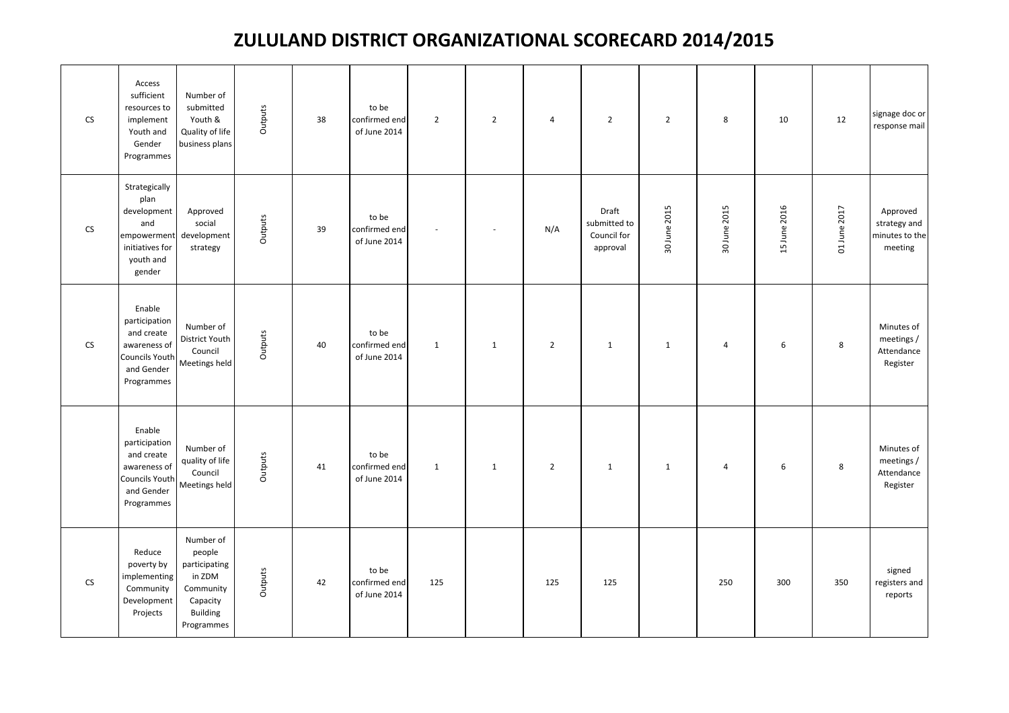| ${\sf CS}$ | Access<br>sufficient<br>resources to<br>implement<br>Youth and<br>Gender<br>Programmes               | Number of<br>submitted<br>Youth &<br>Quality of life<br>business plans                                   | Outputs | 38 | to be<br>confirmed end<br>of June 2014 | $\overline{2}$           | $\overline{2}$           | $\overline{4}$ | $\overline{2}$                                   | $\overline{2}$ | 8              | 10           | 12           | signage doc or<br>response mail                       |
|------------|------------------------------------------------------------------------------------------------------|----------------------------------------------------------------------------------------------------------|---------|----|----------------------------------------|--------------------------|--------------------------|----------------|--------------------------------------------------|----------------|----------------|--------------|--------------|-------------------------------------------------------|
| <b>CS</b>  | Strategically<br>plan<br>development<br>and<br>empowerment<br>initiatives for<br>youth and<br>gender | Approved<br>social<br>development<br>strategy                                                            | Outputs | 39 | to be<br>confirmed end<br>of June 2014 | $\overline{\phantom{a}}$ | $\overline{\phantom{a}}$ | N/A            | Draft<br>submitted to<br>Council for<br>approval | 30 June 2015   | 30 June 2015   | 15 June 2016 | 01 June 2017 | Approved<br>strategy and<br>minutes to the<br>meeting |
| <b>CS</b>  | Enable<br>participation<br>and create<br>awareness of<br>Councils Youth<br>and Gender<br>Programmes  | Number of<br>District Youth<br>Council<br>Meetings held                                                  | Outputs | 40 | to be<br>confirmed end<br>of June 2014 | $\mathbf{1}$             | $\mathbf{1}$             | $\overline{2}$ | $\mathbf{1}$                                     | $\mathbf{1}$   | $\overline{4}$ | 6            | 8            | Minutes of<br>meetings /<br>Attendance<br>Register    |
|            | Enable<br>participation<br>and create<br>awareness of<br>Councils Youth<br>and Gender<br>Programmes  | Number of<br>quality of life<br>Council<br>Meetings held                                                 | Outputs | 41 | to be<br>confirmed end<br>of June 2014 | $\mathbf{1}$             | $\mathbf{1}$             | $\overline{2}$ | $\mathbf{1}$                                     | $\mathbf{1}$   | $\overline{4}$ | 6            | 8            | Minutes of<br>meetings /<br>Attendance<br>Register    |
| <b>CS</b>  | Reduce<br>poverty by<br>implementing<br>Community<br>Development<br>Projects                         | Number of<br>people<br>participating<br>in ZDM<br>Community<br>Capacity<br><b>Building</b><br>Programmes | Outputs | 42 | to be<br>confirmed end<br>of June 2014 | 125                      |                          | 125            | 125                                              |                | 250            | 300          | 350          | signed<br>registers and<br>reports                    |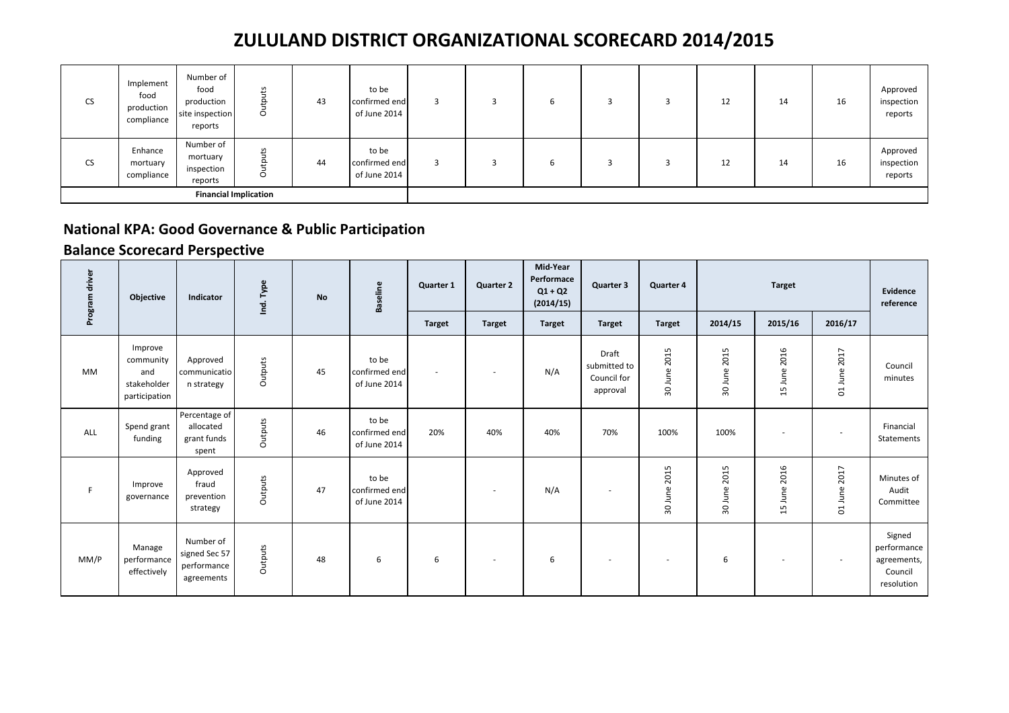| <b>CS</b> | Implement<br>food<br>production<br>compliance | Number of<br>food<br>production<br>site inspection<br>reports | 5<br>$\circ$      | 43 | to be<br>confirmed end<br>of June 2014 |  | ь |  | 12 | 14 | 16 | Approved<br>inspection<br>reports |
|-----------|-----------------------------------------------|---------------------------------------------------------------|-------------------|----|----------------------------------------|--|---|--|----|----|----|-----------------------------------|
| <b>CS</b> | Enhance<br>mortuary<br>compliance             | Number of<br>mortuary<br>inspection<br>reports                | S<br>Q<br>$\circ$ | 44 | to be<br>confirmed end<br>of June 2014 |  | ь |  | 12 | 14 | 16 | Approved<br>inspection<br>reports |
|           | <b>Financial Implication</b>                  |                                                               |                   |    |                                        |  |   |  |    |    |    |                                   |

#### **National KPA: Good Governance & Public Participation**

| Program driver | Objective                                                   | Indicator                                               | Ind. Type | <b>No</b> | <b>Baseline</b>                        | Quarter 1     | <b>Quarter 2</b> | Mid-Year<br>Performace<br>$Q1 + Q2$<br>(2014/15) | Quarter 3                                        | Quarter 4                |                                 | <b>Target</b>            |                                 | Evidence<br>reference                                         |
|----------------|-------------------------------------------------------------|---------------------------------------------------------|-----------|-----------|----------------------------------------|---------------|------------------|--------------------------------------------------|--------------------------------------------------|--------------------------|---------------------------------|--------------------------|---------------------------------|---------------------------------------------------------------|
|                |                                                             |                                                         |           |           |                                        | <b>Target</b> | <b>Target</b>    | <b>Target</b>                                    | <b>Target</b>                                    | <b>Target</b>            | 2014/15                         | 2015/16                  | 2016/17                         |                                                               |
| <b>MM</b>      | Improve<br>community<br>and<br>stakeholder<br>participation | Approved<br>communicatio<br>n strategy                  | Outputs   | 45        | to be<br>confirmed end<br>of June 2014 |               | $\sim$           | N/A                                              | Draft<br>submitted to<br>Council for<br>approval | 30 June 2015             | 2015<br>30 June 2               | June 2016<br>15          | 2017<br>June:<br>$\overline{C}$ | Council<br>minutes                                            |
| ALL            | Spend grant<br>funding                                      | Percentage of<br>allocated<br>grant funds<br>spent      | Outputs   | 46        | to be<br>confirmed end<br>of June 2014 | 20%           | 40%              | 40%                                              | 70%                                              | 100%                     | 100%                            | ٠                        | $\overline{\phantom{a}}$        | Financial<br>Statements                                       |
| F              | Improve<br>governance                                       | Approved<br>fraud<br>prevention<br>strategy             | Outputs   | 47        | to be<br>confirmed end<br>of June 2014 |               | $\sim$           | N/A                                              | $\overline{\phantom{a}}$                         | 2015<br>June<br>30       | 2015<br>June <sup>-</sup><br>30 | June 2016<br>15          | 2017<br>01 June                 | Minutes of<br>Audit<br>Committee                              |
| MM/P           | Manage<br>performance<br>effectively                        | Number of<br>signed Sec 57<br>performance<br>agreements | Outputs   | 48        | 6                                      | 6             | $\sim$           | 6                                                | $\sim$                                           | $\overline{\phantom{a}}$ | 6                               | $\overline{\phantom{a}}$ |                                 | Signed<br>performance<br>agreements,<br>Council<br>resolution |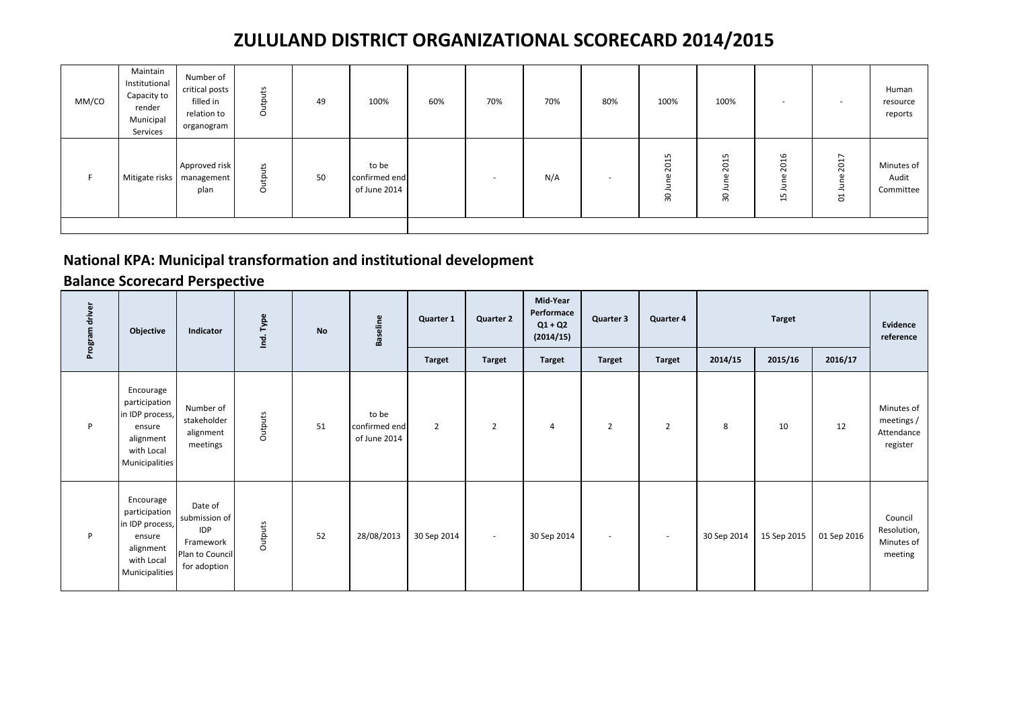| MM/CO | Maintain<br>Institutional<br>Capacity to<br>render<br>Municipal<br>Services | Number of<br>critical posts<br>filled in<br>relation to<br>organogram | Outputs | 49 | 100%                                   | 60% | 70% | 70% | 80% | 100%                                    | 100%                                              | $\overline{\phantom{a}}$                                                                            |                                                                                                      | Human<br>resource<br>reports     |
|-------|-----------------------------------------------------------------------------|-----------------------------------------------------------------------|---------|----|----------------------------------------|-----|-----|-----|-----|-----------------------------------------|---------------------------------------------------|-----------------------------------------------------------------------------------------------------|------------------------------------------------------------------------------------------------------|----------------------------------|
|       |                                                                             | Approved risk<br>Mitigate risks   management<br>plan                  | Outputs | 50 | to be<br>confirmed end<br>of June 2014 |     | . . | N/A |     | LO<br>$\mathbf{\mathbf{t}}$<br>20<br>30 | LO.<br>$\overline{\phantom{0}}$<br>$\Omega$<br>္က | 6<br>$\overline{ }$<br>$\overline{20}$<br>$\mathbf{a}$<br>Б<br>≛<br>LN.<br>$\overline{\phantom{0}}$ | $\overline{ }$<br>$\overline{\phantom{0}}$<br>$\overline{50}$<br>$\overline{\phantom{0}}$<br>$\circ$ | Minutes of<br>Audit<br>Committee |
|       |                                                                             |                                                                       |         |    |                                        |     |     |     |     |                                         |                                                   |                                                                                                     |                                                                                                      |                                  |

### **National KPA: Municipal transformation and institutional development**

| Program driver | Objective                                                                                            | Indicator                                                                              | Ind. Type | <b>No</b> | <b>Baseline</b>                        | Quarter 1      | <b>Quarter 2</b> | Mid-Year<br>Performace<br>$Q1 + Q2$<br>(2014/15) | Quarter 3      | Quarter 4      |             | <b>Target</b> |             | Evidence<br>reference                              |
|----------------|------------------------------------------------------------------------------------------------------|----------------------------------------------------------------------------------------|-----------|-----------|----------------------------------------|----------------|------------------|--------------------------------------------------|----------------|----------------|-------------|---------------|-------------|----------------------------------------------------|
|                |                                                                                                      |                                                                                        |           |           |                                        | <b>Target</b>  | <b>Target</b>    | <b>Target</b>                                    | <b>Target</b>  | <b>Target</b>  | 2014/15     | 2015/16       | 2016/17     |                                                    |
| P              | Encourage<br>participation<br>in IDP process,<br>ensure<br>alignment<br>with Local<br>Municipalities | Number of<br>stakeholder<br>alignment<br>meetings                                      | Outputs   | 51        | to be<br>confirmed end<br>of June 2014 | $\overline{2}$ | $\overline{2}$   | $\overline{4}$                                   | $\overline{2}$ | $\overline{2}$ | 8           | 10            | 12          | Minutes of<br>meetings /<br>Attendance<br>register |
| P              | Encourage<br>participation<br>in IDP process,<br>ensure<br>alignment<br>with Local<br>Municipalities | Date of<br>submission of<br><b>IDP</b><br>Framework<br>Plan to Council<br>for adoption | Outputs   | 52        | 28/08/2013                             | 30 Sep 2014    | $\sim$           | 30 Sep 2014                                      | $\sim$         | $\sim$         | 30 Sep 2014 | 15 Sep 2015   | 01 Sep 2016 | Council<br>Resolution,<br>Minutes of<br>meeting    |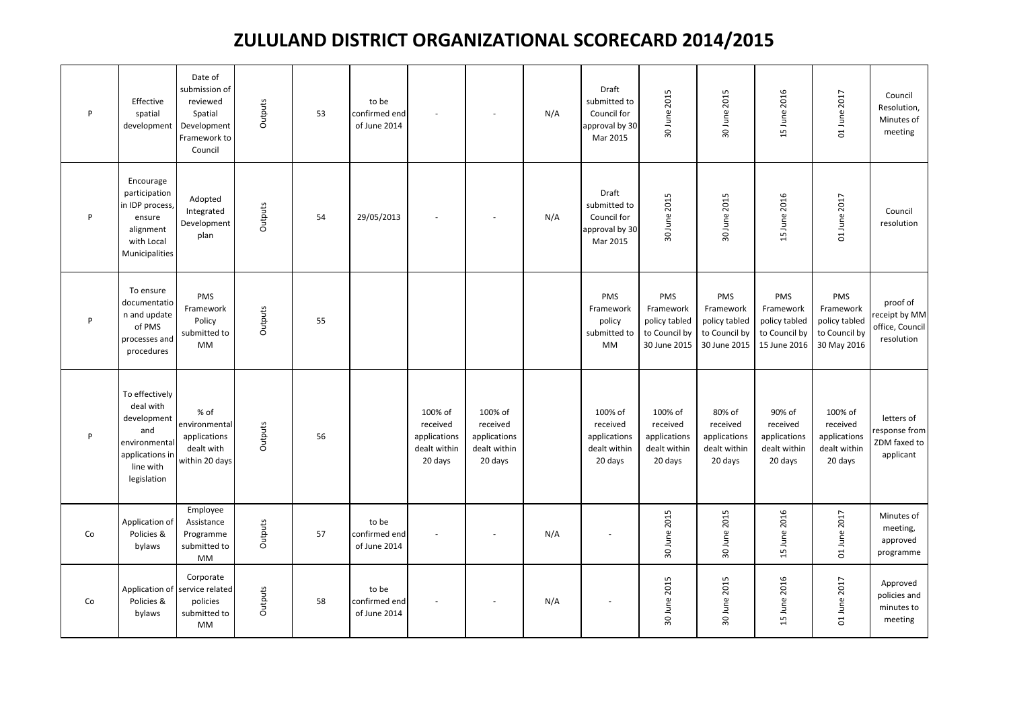| $\mathsf{P}$ | Effective<br>spatial<br>development                                                                               | Date of<br>submission of<br>reviewed<br>Spatial<br>Development<br>Framework to<br>Council | Outputs | 53 | to be<br>confirmed end<br>of June 2014 |                                                                |                                                                | N/A | Draft<br>submitted to<br>Council for<br>approval by 30<br>Mar 2015 | 30 June 2015                                                       | 30 June 2015                                                       | 15 June 2016                                                       | 01 June 2017                                                      | Council<br>Resolution,<br>Minutes of<br>meeting            |
|--------------|-------------------------------------------------------------------------------------------------------------------|-------------------------------------------------------------------------------------------|---------|----|----------------------------------------|----------------------------------------------------------------|----------------------------------------------------------------|-----|--------------------------------------------------------------------|--------------------------------------------------------------------|--------------------------------------------------------------------|--------------------------------------------------------------------|-------------------------------------------------------------------|------------------------------------------------------------|
| $\mathsf{P}$ | Encourage<br>participation<br>in IDP process,<br>ensure<br>alignment<br>with Local<br>Municipalities              | Adopted<br>Integrated<br>Development<br>plan                                              | Outputs | 54 | 29/05/2013                             |                                                                |                                                                | N/A | Draft<br>submitted to<br>Council for<br>approval by 30<br>Mar 2015 | 30 June 2015                                                       | 30 June 2015                                                       | 15 June 2016                                                       | 01 June 2017                                                      | Council<br>resolution                                      |
| P            | To ensure<br>documentatio<br>n and update<br>of PMS<br>processes and<br>procedures                                | PMS<br>Framework<br>Policy<br>submitted to<br>MM                                          | Outputs | 55 |                                        |                                                                |                                                                |     | PMS<br>Framework<br>policy<br>submitted to<br>MM                   | PMS<br>Framework<br>policy tabled<br>to Council by<br>30 June 2015 | PMS<br>Framework<br>policy tabled<br>to Council by<br>30 June 2015 | PMS<br>Framework<br>policy tabled<br>to Council by<br>15 June 2016 | PMS<br>Framework<br>policy tabled<br>to Council by<br>30 May 2016 | proof of<br>receipt by MM<br>office, Council<br>resolution |
| P            | To effectively<br>deal with<br>development<br>and<br>environmental<br>applications in<br>line with<br>legislation | % of<br>environmental<br>applications<br>dealt with<br>within 20 days                     | Outputs | 56 |                                        | 100% of<br>received<br>applications<br>dealt within<br>20 days | 100% of<br>received<br>applications<br>dealt within<br>20 days |     | 100% of<br>received<br>applications<br>dealt within<br>20 days     | 100% of<br>received<br>applications<br>dealt within<br>20 days     | 80% of<br>received<br>applications<br>dealt within<br>20 days      | 90% of<br>received<br>applications<br>dealt within<br>20 days      | 100% of<br>received<br>applications<br>dealt within<br>20 days    | letters of<br>response from<br>ZDM faxed to<br>applicant   |
| Co           | Application of<br>Policies &<br>bylaws                                                                            | Employee<br>Assistance<br>Programme<br>submitted to<br>MM                                 | Outputs | 57 | to be<br>confirmed end<br>of June 2014 |                                                                |                                                                | N/A |                                                                    | 30 June 2015                                                       | 30 June 2015                                                       | 15 June 2016                                                       | 01 June 2017                                                      | Minutes of<br>meeting,<br>approved<br>programme            |
| Co           | Policies &<br>bylaws                                                                                              | Corporate<br>Application of service related<br>policies<br>submitted to<br>MM             | Outputs | 58 | to be<br>confirmed end<br>of June 2014 |                                                                |                                                                | N/A |                                                                    | 30 June 2015                                                       | 30 June 2015                                                       | 15 June 2016                                                       | 01 June 2017                                                      | Approved<br>policies and<br>minutes to<br>meeting          |